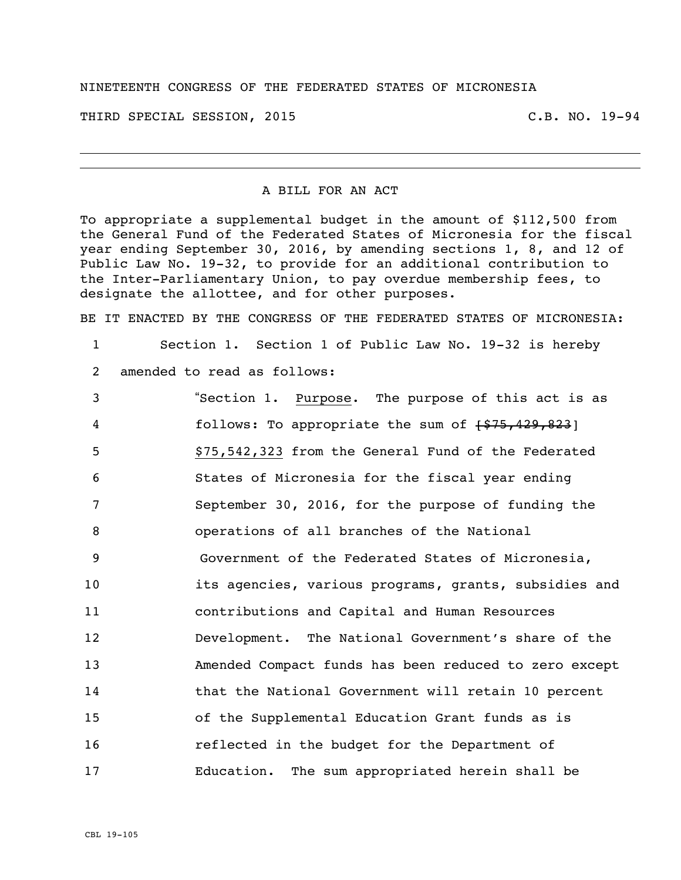## NINETEENTH CONGRESS OF THE FEDERATED STATES OF MICRONESIA

THIRD SPECIAL SESSION, 2015 C.B. NO. 19-94

## A BILL FOR AN ACT

To appropriate a supplemental budget in the amount of \$112,500 from the General Fund of the Federated States of Micronesia for the fiscal year ending September 30, 2016, by amending sections 1, 8, and 12 of Public Law No. 19-32, to provide for an additional contribution to the Inter-Parliamentary Union, to pay overdue membership fees, to designate the allottee, and for other purposes.

BE IT ENACTED BY THE CONGRESS OF THE FEDERATED STATES OF MICRONESIA:

 Section 1. Section 1 of Public Law No. 19-32 is hereby amended to read as follows:

| $\overline{3}$  | "Section 1. Purpose. The purpose of this act is as     |
|-----------------|--------------------------------------------------------|
| 4               | follows: To appropriate the sum of $\{575, 429, 823\}$ |
| 5               | \$75,542,323 from the General Fund of the Federated    |
| 6               | States of Micronesia for the fiscal year ending        |
| $\overline{7}$  | September 30, 2016, for the purpose of funding the     |
| 8               | operations of all branches of the National             |
| 9               | Government of the Federated States of Micronesia,      |
| 10 <sub>1</sub> | its agencies, various programs, grants, subsidies and  |
| 11              | contributions and Capital and Human Resources          |
| 12              | Development. The National Government's share of the    |
| 13              | Amended Compact funds has been reduced to zero except  |
| 14              | that the National Government will retain 10 percent    |
| 15              | of the Supplemental Education Grant funds as is        |
| 16              | reflected in the budget for the Department of          |
| 17              | Education. The sum appropriated herein shall be        |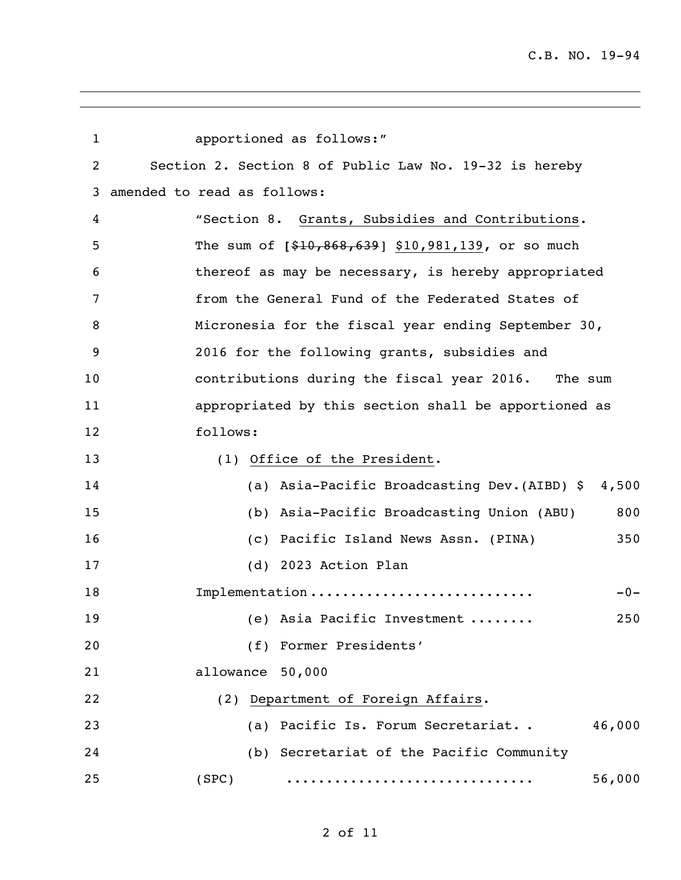| $\mathbf{1}$ |                                                        | apportioned as follows:"                             |  |
|--------------|--------------------------------------------------------|------------------------------------------------------|--|
| 2            | Section 2. Section 8 of Public Law No. 19-32 is hereby |                                                      |  |
| 3            | amended to read as follows:                            |                                                      |  |
| 4            |                                                        | "Section 8. Grants, Subsidies and Contributions.     |  |
| 5            |                                                        | The sum of $[$10,868,639]$ \$10,981,139, or so much  |  |
| 6            |                                                        | thereof as may be necessary, is hereby appropriated  |  |
| 7            |                                                        | from the General Fund of the Federated States of     |  |
| 8            |                                                        | Micronesia for the fiscal year ending September 30,  |  |
| 9            |                                                        | 2016 for the following grants, subsidies and         |  |
| 10           |                                                        | contributions during the fiscal year 2016. The sum   |  |
| 11           |                                                        | appropriated by this section shall be apportioned as |  |
| 12           | follows:                                               |                                                      |  |
| 13           |                                                        | (1) Office of the President.                         |  |
| 14           |                                                        | (a) Asia-Pacific Broadcasting Dev. (AIBD) \$ 4,500   |  |
| 15           |                                                        | (b) Asia-Pacific Broadcasting Union (ABU)<br>800     |  |
| 16           |                                                        | (c) Pacific Island News Assn. (PINA)<br>350          |  |
| 17           |                                                        | (d) 2023 Action Plan                                 |  |
| 18           |                                                        | Implementation<br>$-0-$                              |  |
| 19           |                                                        | (e) Asia Pacific Investment<br>250                   |  |
| 20           |                                                        | (f) Former Presidents'                               |  |
| 21           | allowance 50,000                                       |                                                      |  |
| 22           |                                                        | (2) Department of Foreign Affairs.                   |  |
| 23           |                                                        | 46,000<br>(a) Pacific Is. Forum Secretariat          |  |
| 24           |                                                        | (b) Secretariat of the Pacific Community             |  |
| 25           | (SPC)                                                  | 56,000                                               |  |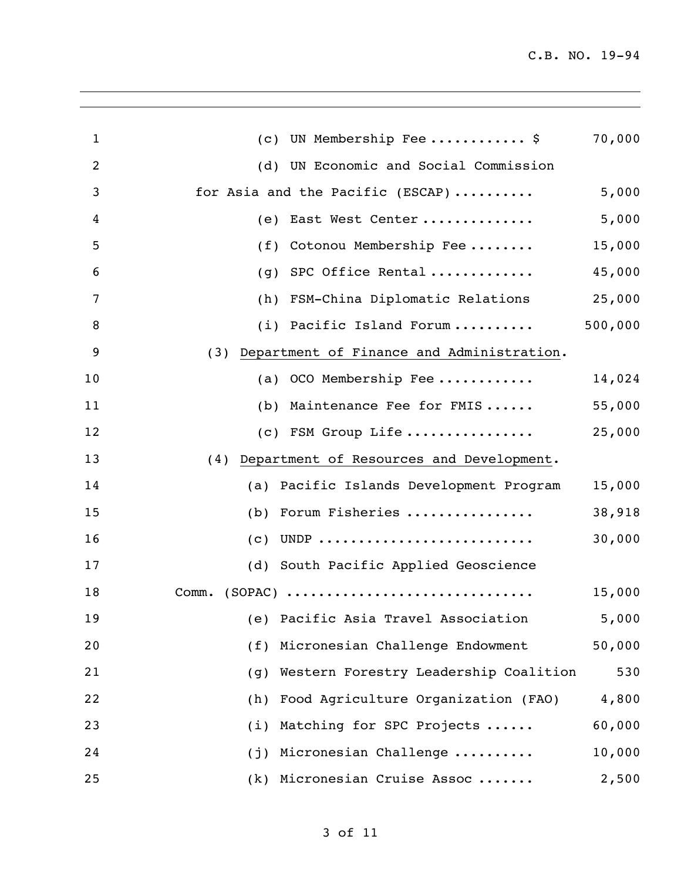| $\mathbf{1}$ | (c) UN Membership Fee \$                         | 70,000  |
|--------------|--------------------------------------------------|---------|
| 2            | (d) UN Economic and Social Commission            |         |
| 3            | for Asia and the Pacific (ESCAP)                 | 5,000   |
| 4            | East West Center<br>(e)                          | 5,000   |
| 5            | Cotonou Membership Fee<br>(f)                    | 15,000  |
| 6            | SPC Office Rental<br>(q)                         | 45,000  |
| 7            | (h) FSM-China Diplomatic Relations               | 25,000  |
| 8            | (i) Pacific Island Forum                         | 500,000 |
| 9            | Department of Finance and Administration.<br>(3) |         |
| 10           | OCO Membership Fee<br>(a)                        | 14,024  |
| 11           | (b) Maintenance Fee for FMIS                     | 55,000  |
| 12           | (c) FSM Group Life                               | 25,000  |
| 13           | Department of Resources and Development.<br>(4)  |         |
| 14           | (a) Pacific Islands Development Program          | 15,000  |
| 15           | (b) Forum Fisheries                              | 38,918  |
| 16           | $(c)$ UNDP                                       | 30,000  |
| 17           | (d) South Pacific Applied Geoscience             |         |
| 18           | $(SOPAC)$<br>Comm.                               | 15,000  |
| 19           | (e) Pacific Asia Travel Association              | 5,000   |
| 20           | Micronesian Challenge Endowment<br>(f)           | 50,000  |
| 21           | Western Forestry Leadership Coalition<br>(g)     | 530     |
| 22           | Food Agriculture Organization (FAO)<br>(h)       | 4,800   |
| 23           | Matching for SPC Projects<br>(i)                 | 60,000  |
| 24           | Micronesian Challenge<br>(j)                     | 10,000  |
| 25           | Micronesian Cruise Assoc<br>(k)                  | 2,500   |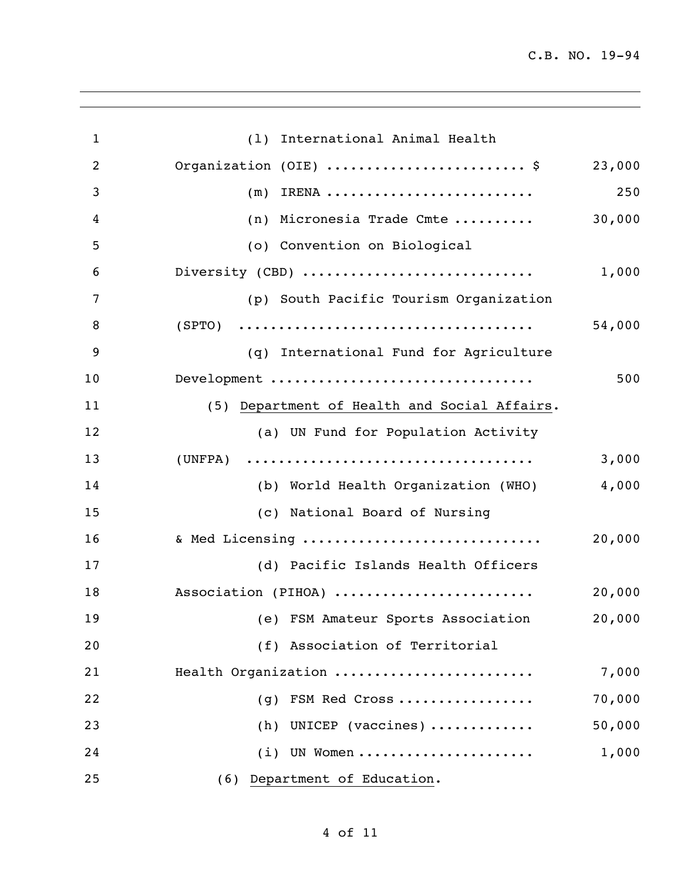C.B. NO. 19-94

| $\mathbf{1}$   | (1) International Animal Health                 |        |
|----------------|-------------------------------------------------|--------|
| $\overline{2}$ | Organization (OIE) \$                           | 23,000 |
| 3              | $(m)$ IRENA                                     | 250    |
| 4              | (n) Micronesia Trade Cmte                       | 30,000 |
| 5              | (o) Convention on Biological                    |        |
| 6              | Diversity (CBD)                                 | 1,000  |
| 7              | (p) South Pacific Tourism Organization          |        |
| 8              | (SPTO)                                          | 54,000 |
| 9              | (q) International Fund for Agriculture          |        |
| 10             | Development                                     | 500    |
| 11             | (5) Department of Health and Social Affairs.    |        |
| 12             | (a) UN Fund for Population Activity             |        |
| 13             | (UNFPA)                                         | 3,000  |
| 14             | (b) World Health Organization (WHO)             | 4,000  |
| 15             | (c) National Board of Nursing                   |        |
| 16             | & Med Licensing                                 | 20,000 |
| 17             | (d) Pacific Islands Health Officers             |        |
| 18             | Association (PIHOA)                             | 20,000 |
| 19             | (e) FSM Amateur Sports Association              | 20,000 |
| 20             | (f) Association of Territorial                  |        |
| 21             | Health Organization                             | 7,000  |
| 22             | FSM Red Cross<br>(q)                            | 70,000 |
| 23             | UNICEP (vaccines) $\dots\dots\dots\dots$<br>(h) | 50,000 |
| 24             | UN Women<br>(i)                                 | 1,000  |
| 25             | (6) Department of Education.                    |        |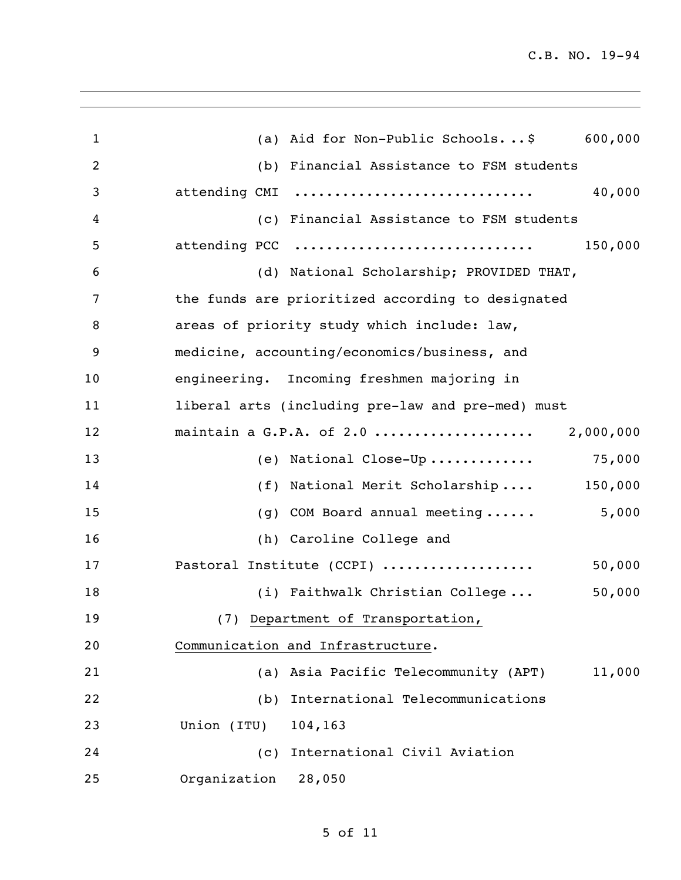C.B. NO. 19-94

| 1  | 600,000<br>(a) Aid for Non-Public Schools\$       |
|----|---------------------------------------------------|
| 2  | (b) Financial Assistance to FSM students          |
| 3  | 40,000<br>attending CMI                           |
| 4  | (c) Financial Assistance to FSM students          |
| 5  | attending PCC<br>150,000                          |
| 6  | (d) National Scholarship; PROVIDED THAT,          |
| 7  | the funds are prioritized according to designated |
| 8  | areas of priority study which include: law,       |
| 9  | medicine, accounting/economics/business, and      |
| 10 | engineering. Incoming freshmen majoring in        |
| 11 | liberal arts (including pre-law and pre-med) must |
| 12 | maintain a G.P.A. of 2.0<br>2,000,000             |
| 13 | (e) National Close-Up<br>75,000                   |
| 14 | 150,000<br>(f) National Merit Scholarship         |
| 15 | (g) COM Board annual meeting<br>5,000             |
| 16 | (h) Caroline College and                          |
| 17 | Pastoral Institute (CCPI)<br>50,000               |
| 18 | 50,000<br>(i) Faithwalk Christian College         |
| 19 | (7) Department of Transportation,                 |
| 20 | Communication and Infrastructure.                 |
| 21 | (a) Asia Pacific Telecommunity (APT)<br>11,000    |
| 22 | International Telecommunications<br>(b)           |
| 23 | Union (ITU)<br>104,163                            |
| 24 | International Civil Aviation<br>(C)               |
| 25 | Organization<br>28,050                            |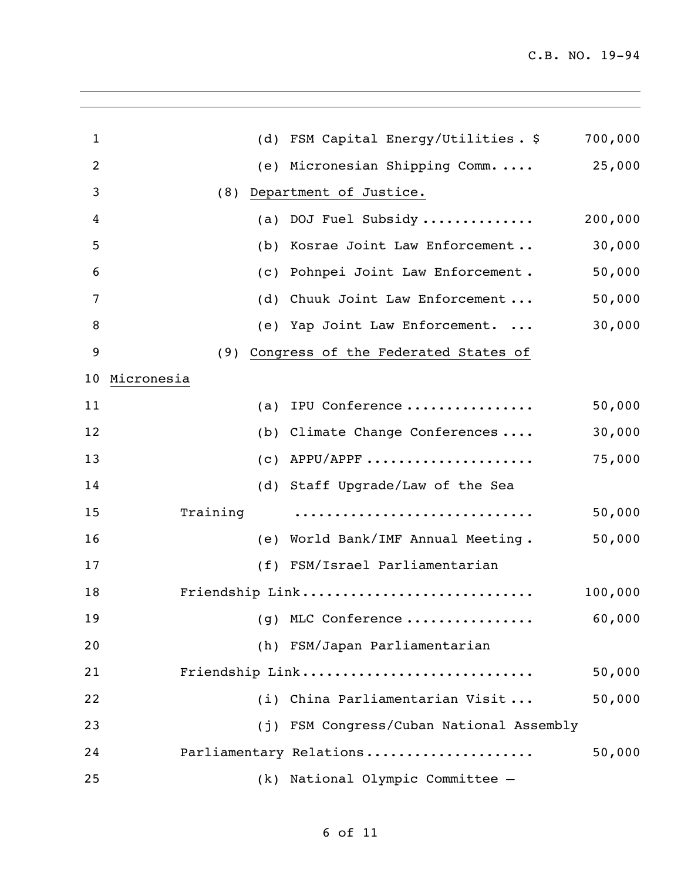| $\mathbf{1}$ |            | (d) FSM Capital Energy/Utilities. \$                    | 700,000 |
|--------------|------------|---------------------------------------------------------|---------|
| 2            |            | (e) Micronesian Shipping Comm                           | 25,000  |
| 3            | (8)        | Department of Justice.                                  |         |
| 4            |            | (a) DOJ Fuel Subsidy                                    | 200,000 |
| 5            |            | (b) Kosrae Joint Law Enforcement                        | 30,000  |
| 6            |            | (c) Pohnpei Joint Law Enforcement.                      | 50,000  |
| 7            |            | (d) Chuuk Joint Law Enforcement                         | 50,000  |
| 8            |            | (e) Yap Joint Law Enforcement.                          | 30,000  |
| 9            | (9)        | Congress of the Federated States of                     |         |
| 10           | Micronesia |                                                         |         |
| 11           |            | (a) IPU Conference                                      | 50,000  |
| 12           |            | (b) Climate Change Conferences                          | 30,000  |
| 13           |            | $(c)$ APPU/APPF                                         | 75,000  |
| 14           |            | (d) Staff Upgrade/Law of the Sea                        |         |
| 15           | Training   |                                                         | 50,000  |
| 16           |            | (e) World Bank/IMF Annual Meeting.                      | 50,000  |
| 17           |            | (f) FSM/Israel Parliamentarian                          |         |
| 18           |            | Friendship Link                                         | 100,000 |
| 19           |            | (g) MLC Conference $\ldots \ldots \ldots \ldots \ldots$ | 60,000  |
| 20           |            | (h) FSM/Japan Parliamentarian                           |         |
| 21           |            | Friendship Link                                         | 50,000  |
| 22           |            | (i) China Parliamentarian Visit                         | 50,000  |
| 23           |            | (j) FSM Congress/Cuban National Assembly                |         |
| 24           |            | Parliamentary Relations                                 | 50,000  |
| 25           |            | (k) National Olympic Committee -                        |         |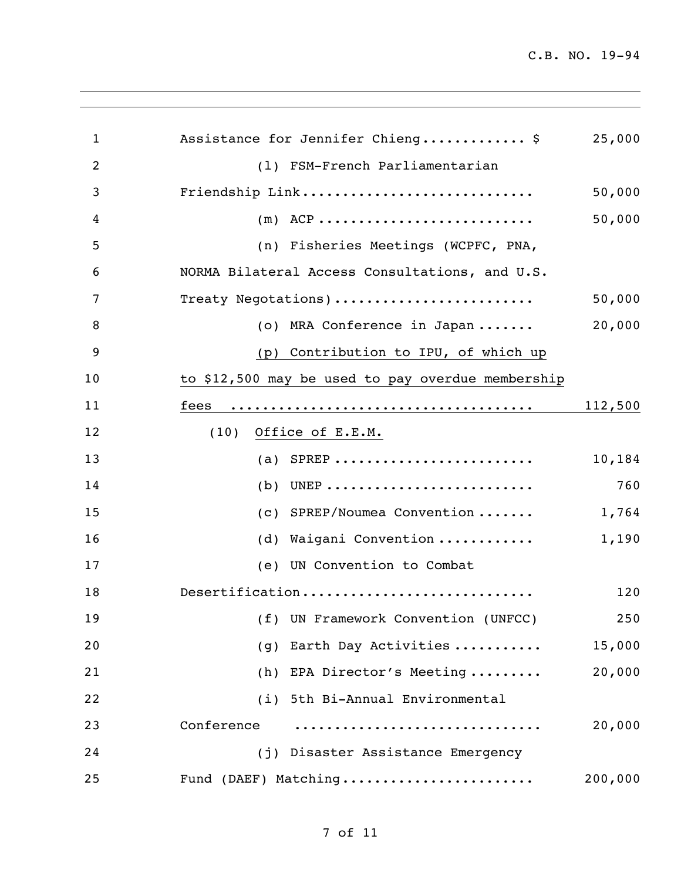C.B. NO. 19-94

| $\mathbf 1$ | Assistance for Jennifer Chieng \$                 | 25,000  |
|-------------|---------------------------------------------------|---------|
| 2           | (1) FSM-French Parliamentarian                    |         |
| 3           | Friendship Link                                   | 50,000  |
| 4           | $(m)$ ACP                                         | 50,000  |
| 5           | (n) Fisheries Meetings (WCPFC, PNA,               |         |
| 6           | NORMA Bilateral Access Consultations, and U.S.    |         |
| 7           | Treaty Negotations)                               | 50,000  |
| 8           | (o) MRA Conference in Japan                       | 20,000  |
| 9           | (p) Contribution to IPU, of which up              |         |
| 10          | to \$12,500 may be used to pay overdue membership |         |
| 11          | fees                                              | 112,500 |
| 12          | (10)<br>Office of E.E.M.                          |         |
| 13          | (a) SPREP                                         | 10,184  |
| 14          | $(b)$ UNEP                                        | 760     |
| 15          | (c) SPREP/Noumea Convention                       | 1,764   |
| 16          | (d) Waigani Convention                            | 1,190   |
| 17          | (e) UN Convention to Combat                       |         |
| 18          | Desertification                                   | 120     |
| 19          | (f) UN Framework Convention (UNFCC)               | 250     |
| 20          | Earth Day Activities<br>(q)                       | 15,000  |
| 21          | (h) EPA Director's Meeting                        | 20,000  |
| 22          | (i) 5th Bi-Annual Environmental                   |         |
| 23          | Conference                                        | 20,000  |
| 24          | (j) Disaster Assistance Emergency                 |         |
| 25          | Fund (DAEF) Matching                              | 200,000 |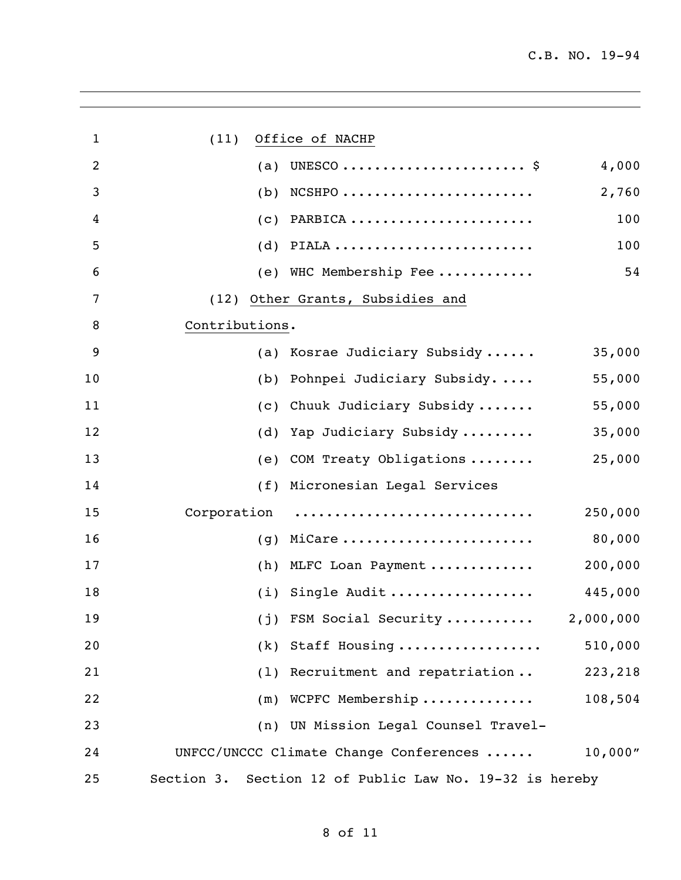| $\mathbf{1}$ | Office of NACHP<br>(11)                                 |           |
|--------------|---------------------------------------------------------|-----------|
| 2            | UNESCO $\frac{1}{2}$<br>(a)                             | 4,000     |
| 3            | NCSHPO<br>(b)                                           | 2,760     |
| 4            | (C)                                                     | 100       |
| 5            | (d)<br>PIALA                                            | 100       |
| 6            | (e) WHC Membership Fee                                  | 54        |
| 7            | (12) Other Grants, Subsidies and                        |           |
| 8            | Contributions.                                          |           |
| 9            | Kosrae Judiciary Subsidy<br>(a)                         | 35,000    |
| 10           | Pohnpei Judiciary Subsidy<br>(b)                        | 55,000    |
| 11           | Chuuk Judiciary Subsidy<br>(C)                          | 55,000    |
| 12           | Yap Judiciary Subsidy<br>(d)                            | 35,000    |
| 13           | (e) COM Treaty Obligations                              | 25,000    |
| 14           | (f) Micronesian Legal Services                          |           |
| 15           | Corporation                                             | 250,000   |
| 16           | MiCare<br>(q)                                           | 80,000    |
| 17           | MLFC Loan Payment<br>(h)                                | 200,000   |
| 18           | Single Audit<br>(i)                                     | 445,000   |
| 19           | (j) FSM Social Security                                 | 2,000,000 |
| 20           | Staff Housing<br>(k)                                    | 510,000   |
| 21           | (1) Recruitment and repatriation                        | 223,218   |
| 22           | (m) WCPFC Membership                                    | 108,504   |
| 23           | (n) UN Mission Legal Counsel Travel-                    |           |
| 24           | UNFCC/UNCCC Climate Change Conferences                  | 10,000"   |
| 25           | Section 3. Section 12 of Public Law No. 19-32 is hereby |           |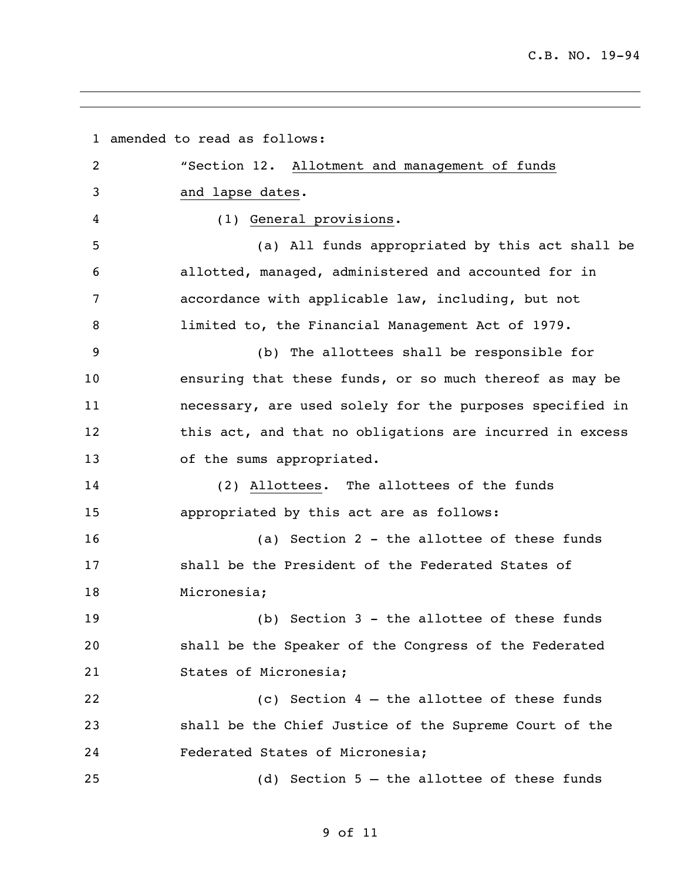amended to read as follows: "Section 12. Allotment and management of funds and lapse dates. (1) General provisions. (a) All funds appropriated by this act shall be allotted, managed, administered and accounted for in accordance with applicable law, including, but not 8 limited to, the Financial Management Act of 1979. (b) The allottees shall be responsible for ensuring that these funds, or so much thereof as may be necessary, are used solely for the purposes specified in this act, and that no obligations are incurred in excess of the sums appropriated. (2) Allottees. The allottees of the funds appropriated by this act are as follows: (a) Section 2 - the allottee of these funds shall be the President of the Federated States of Micronesia; (b) Section 3 - the allottee of these funds shall be the Speaker of the Congress of the Federated States of Micronesia; (c) Section 4 – the allottee of these funds shall be the Chief Justice of the Supreme Court of the Federated States of Micronesia; (d) Section 5 – the allottee of these funds

## of 11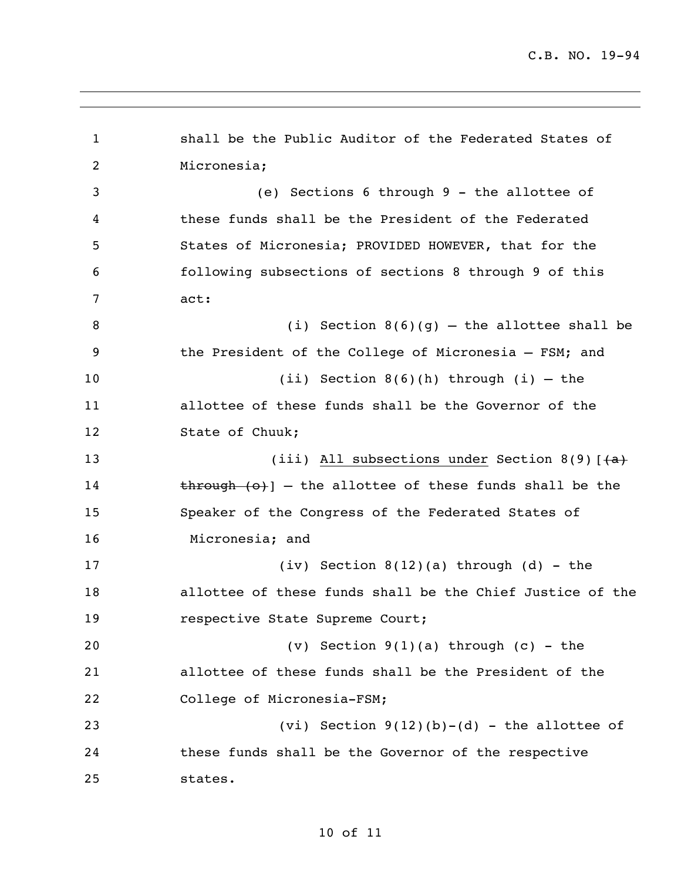```
1 shall be the Public Auditor of the Federated States of 
2 Micronesia;
3 (e) Sections 6 through 9 - the allottee of 
4 these funds shall be the President of the Federated 
5 States of Micronesia; PROVIDED HOWEVER, that for the 
6 following subsections of sections 8 through 9 of this 
7 act:
8 (i) Section 8(6)(g) – the allottee shall be 
9 the President of the College of Micronesia – FSM; and 
10 (ii) Section 8(6)(h) through (i) – the 
11 allottee of these funds shall be the Governor of the 
12 State of Chuuk;
13 (iii) All subsections under Section 8(9) [\{a\}14 through (o) \left[ -\right] the allottee of these funds shall be the
15 Speaker of the Congress of the Federated States of 
16 Micronesia; and
17 (iv) Section 8(12)(a) through (d) - the 
18 allottee of these funds shall be the Chief Justice of the 
19 respective State Supreme Court;
20 (v) Section 9(1)(a) through (c) - the 
21 allottee of these funds shall be the President of the
22 College of Micronesia-FSM;
23 (vi) Section 9(12)(b)-(d) - the allottee of
24 these funds shall be the Governor of the respective 
25 states.
```